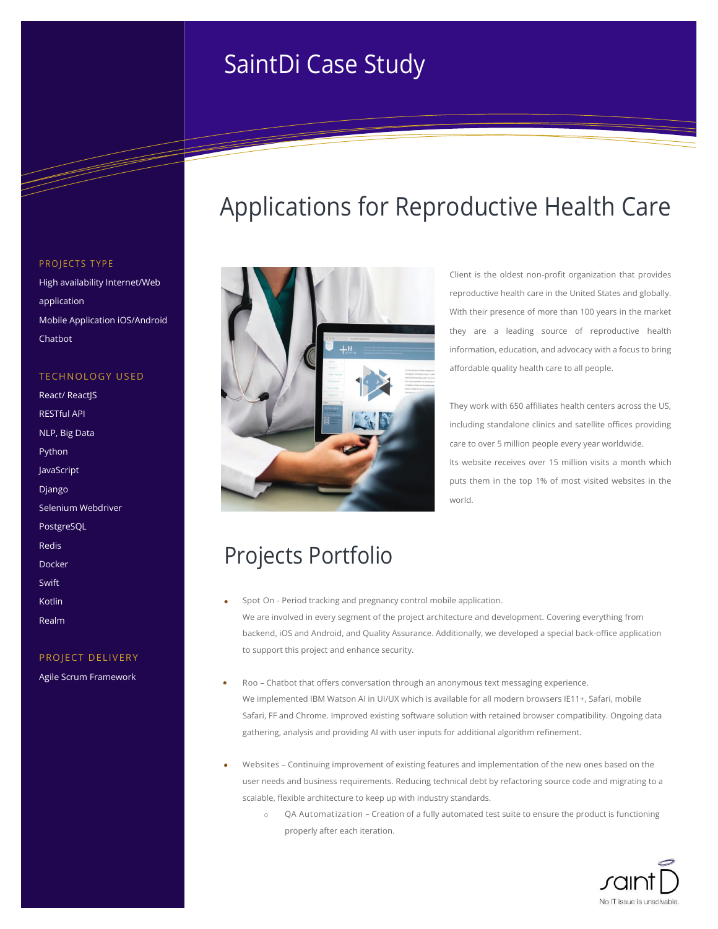# **Information Case Study** SaintDi Case Study

### PROJECTS TYPE

High availability Internet/Web application Mobile Application iOS/Android Chatbot

### TECHNOLOGY USED

| <b>React/ React S</b> |
|-----------------------|
| <b>RESTful API</b>    |
| NLP, Big Data         |
| Python                |
| JavaScript            |
| Django                |
| Selenium Webdriver    |
| <b>PostgreSQL</b>     |
| Redis                 |
| Docker                |
| Swift                 |
| Kotlin                |
| Realm                 |

### PROJECT DELIVERY

Agile Scrum Framework



## Applications for Reproductive Health Care

Client is the oldest non-profit organization that provides reproductive health care in the United States and globally. With their presence of more than 100 years in the market they are a leading source of reproductive health information, education, and advocacy with a focus to bring affordable quality health care to all people.

They work with 650 affiliates health centers across the US, including standalone clinics and satellite offices providing care to over 5 million people every year worldwide. Its website receives over 15 million visits a month which puts them in the top 1% of most visited websites in the world.

# Projects Portfolio

- **Spot On -** Period tracking and pregnancy control mobile application. We are involved in every segment of the project architecture and development. Covering everything from backend, iOS and Android, and Quality Assurance. Additionally, we developed a special back-office application to support this project and enhance security.
- **Roo –** Chatbot that offers conversation through an anonymous text messaging experience. We implemented IBM Watson AI in UI/UX which is available for all modern browsers IE11+, Safari, mobile Safari, FF and Chrome. Improved existing software solution with retained browser compatibility. Ongoing data gathering, analysis and providing AI with user inputs for additional algorithm refinement.
- **Websites –** Continuing improvement of existing features and implementation of the new ones based on the user needs and business requirements. Reducing technical debt by refactoring source code and migrating to a scalable, flexible architecture to keep up with industry standards.
	- QA Automatization Creation of a fully automated test suite to ensure the product is functioning properly after each iteration.